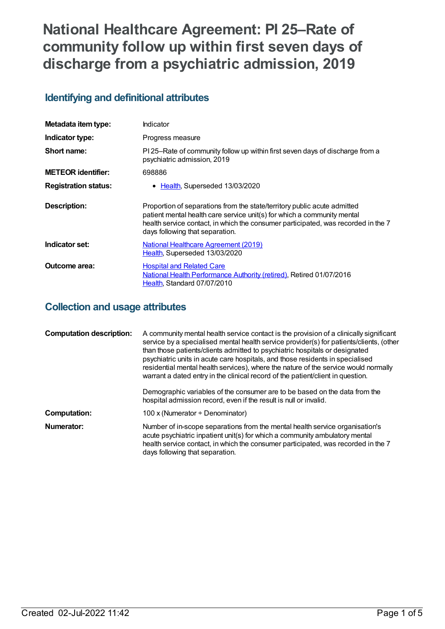# **National Healthcare Agreement: PI 25–Rate of community follow up within first seven days of discharge from a psychiatric admission, 2019**

### **Identifying and definitional attributes**

| Metadata item type:         | Indicator                                                                                                                                                                                                                                                                   |
|-----------------------------|-----------------------------------------------------------------------------------------------------------------------------------------------------------------------------------------------------------------------------------------------------------------------------|
| Indicator type:             | Progress measure                                                                                                                                                                                                                                                            |
| Short name:                 | PI 25–Rate of community follow up within first seven days of discharge from a<br>psychiatric admission, 2019                                                                                                                                                                |
| <b>METEOR identifier:</b>   | 698886                                                                                                                                                                                                                                                                      |
| <b>Registration status:</b> | • Health, Superseded 13/03/2020                                                                                                                                                                                                                                             |
| <b>Description:</b>         | Proportion of separations from the state/territory public acute admitted<br>patient mental health care service unit(s) for which a community mental<br>health service contact, in which the consumer participated, was recorded in the 7<br>days following that separation. |
| Indicator set:              | National Healthcare Agreement (2019)<br>Health, Superseded 13/03/2020                                                                                                                                                                                                       |
| <b>Outcome area:</b>        | <b>Hospital and Related Care</b><br>National Health Performance Authority (retired), Retired 01/07/2016<br>Health, Standard 07/07/2010                                                                                                                                      |

### **Collection and usage attributes**

| <b>Computation description:</b> | A community mental health service contact is the provision of a clinically significant<br>service by a specialised mental health service provider(s) for patients/clients, (other<br>than those patients/clients admitted to psychiatric hospitals or designated<br>psychiatric units in acute care hospitals, and those residents in specialised<br>residential mental health services), where the nature of the service would normally<br>warrant a dated entry in the clinical record of the patient/client in question.<br>Demographic variables of the consumer are to be based on the data from the<br>hospital admission record, even if the result is null or invalid. |
|---------------------------------|--------------------------------------------------------------------------------------------------------------------------------------------------------------------------------------------------------------------------------------------------------------------------------------------------------------------------------------------------------------------------------------------------------------------------------------------------------------------------------------------------------------------------------------------------------------------------------------------------------------------------------------------------------------------------------|
| Computation:                    | 100 x (Numerator $\div$ Denominator)                                                                                                                                                                                                                                                                                                                                                                                                                                                                                                                                                                                                                                           |
| Numerator:                      | Number of in-scope separations from the mental health service organisation's<br>acute psychiatric inpatient unit(s) for which a community ambulatory mental<br>health service contact, in which the consumer participated, was recorded in the 7<br>days following that separation.                                                                                                                                                                                                                                                                                                                                                                                            |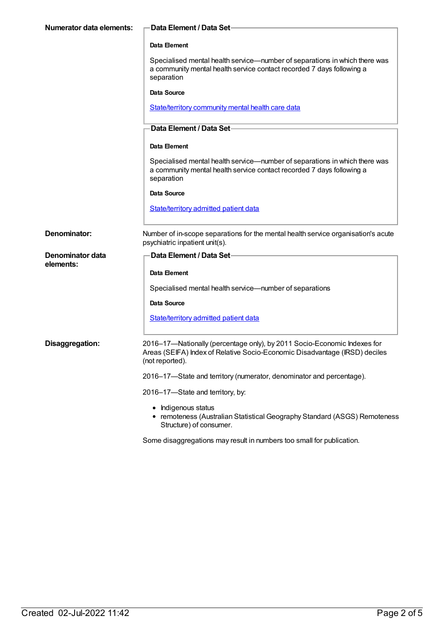| <b>Numerator data elements:</b> | -Data Element / Data Set-                                                                                                                                                 |
|---------------------------------|---------------------------------------------------------------------------------------------------------------------------------------------------------------------------|
|                                 | Data Element                                                                                                                                                              |
|                                 | Specialised mental health service—number of separations in which there was<br>a community mental health service contact recorded 7 days following a<br>separation         |
|                                 | <b>Data Source</b>                                                                                                                                                        |
|                                 | State/territory community mental health care data                                                                                                                         |
|                                 | Data Element / Data Set-                                                                                                                                                  |
|                                 | Data Element                                                                                                                                                              |
|                                 | Specialised mental health service—number of separations in which there was<br>a community mental health service contact recorded 7 days following a<br>separation         |
|                                 | <b>Data Source</b>                                                                                                                                                        |
|                                 | State/territory admitted patient data                                                                                                                                     |
| Denominator:                    | Number of in-scope separations for the mental health service organisation's acute<br>psychiatric inpatient unit(s).                                                       |
| Denominator data                | Data Element / Data Set-                                                                                                                                                  |
| elements:                       | <b>Data Element</b>                                                                                                                                                       |
|                                 | Specialised mental health service-number of separations                                                                                                                   |
|                                 | <b>Data Source</b>                                                                                                                                                        |
|                                 | State/territory admitted patient data                                                                                                                                     |
| Disaggregation:                 | 2016-17-Nationally (percentage only), by 2011 Socio-Economic Indexes for<br>Areas (SEIFA) Index of Relative Socio-Economic Disadvantage (IRSD) deciles<br>(not reported). |
|                                 | 2016-17-State and territory (numerator, denominator and percentage).                                                                                                      |
|                                 | 2016-17-State and territory, by:                                                                                                                                          |
|                                 | Indigenous status<br>• remoteness (Australian Statistical Geography Standard (ASGS) Remoteness<br>Structure) of consumer.                                                 |

Some disaggregations may result in numbers too small for publication.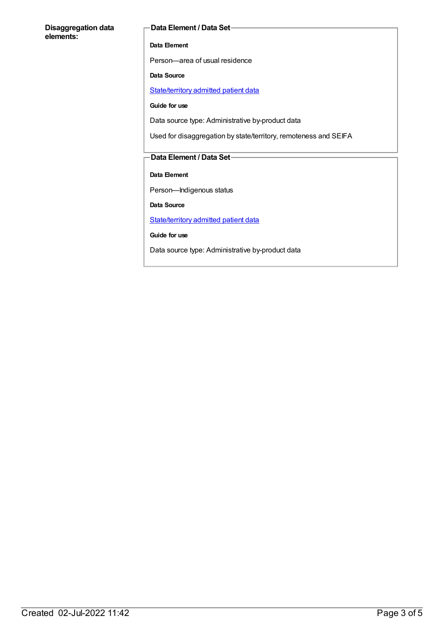#### **Disaggregation data elements:**

#### **Data Element / Data Set**

#### **Data Element**

Person—area of usual residence

#### **Data Source**

[State/territory](https://meteor.aihw.gov.au/content/426458) admitted patient data

#### **Guide for use**

Data source type: Administrative by-product data

Used for disaggregation by state/territory, remoteness and SEIFA

#### **Data Element / Data Set**

**Data Element**

Person—Indigenous status

**Data Source**

[State/territory](https://meteor.aihw.gov.au/content/426458) admitted patient data

**Guide for use**

Data source type: Administrative by-product data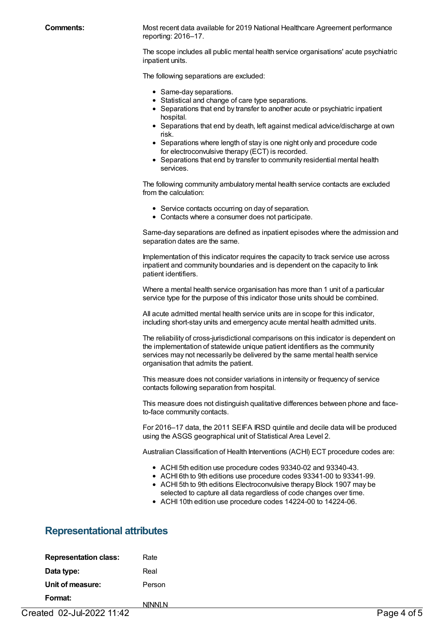**Comments:** Most recent data available for 2019 National Healthcare Agreement performance reporting: 2016–17.

> The scope includes all public mental health service organisations' acute psychiatric inpatient units.

The following separations are excluded:

- Same-day separations.
- Statistical and change of care type separations.
- Separations that end by transfer to another acute or psychiatric inpatient hospital.
- Separations that end by death, left against medical advice/discharge at own risk.
- Separations where length of stay is one night only and procedure code for electroconvulsive therapy (ECT) is recorded.
- Separations that end by transfer to community residential mental health services.

The following community ambulatory mental health service contacts are excluded from the calculation:

- Service contacts occurring on day of separation.
- Contacts where a consumer does not participate.

Same-day separations are defined as inpatient episodes where the admission and separation dates are the same.

Implementation of this indicator requires the capacity to track service use across inpatient and community boundaries and is dependent on the capacity to link patient identifiers.

Where a mental health service organisation has more than 1 unit of a particular service type for the purpose of this indicator those units should be combined.

All acute admitted mental health service units are in scope for this indicator, including short-stay units and emergency acute mental health admitted units.

The reliability of cross-jurisdictional comparisons on this indicator is dependent on the implementation of statewide unique patient identifiers as the community services may not necessarily be delivered by the same mental health service organisation that admits the patient.

This measure does not consider variations in intensity or frequency of service contacts following separation from hospital.

This measure does not distinguish qualitative differences between phone and faceto-face community contacts.

For 2016–17 data, the 2011 SEIFA IRSD quintile and decile data will be produced using the ASGS geographical unit of Statistical Area Level 2.

Australian Classification of Health Interventions (ACHI) ECT procedure codes are:

- ACHI 5th edition use procedure codes 93340-02 and 93340-43.
- ACHI 6th to 9th editions use procedure codes 93341-00 to 93341-99. ACHI 5th to 9th editions Electroconvulsive therapy Block 1907 may be
- selected to capture all data regardless of code changes over time.
- ACHI 10th edition use procedure codes 14224-00 to 14224-06.

### **Representational attributes**

| <b>Representation class:</b> | Rate    |
|------------------------------|---------|
| Data type:                   | Real    |
| Unit of measure:             | Person  |
| Format:                      | NINNI.N |